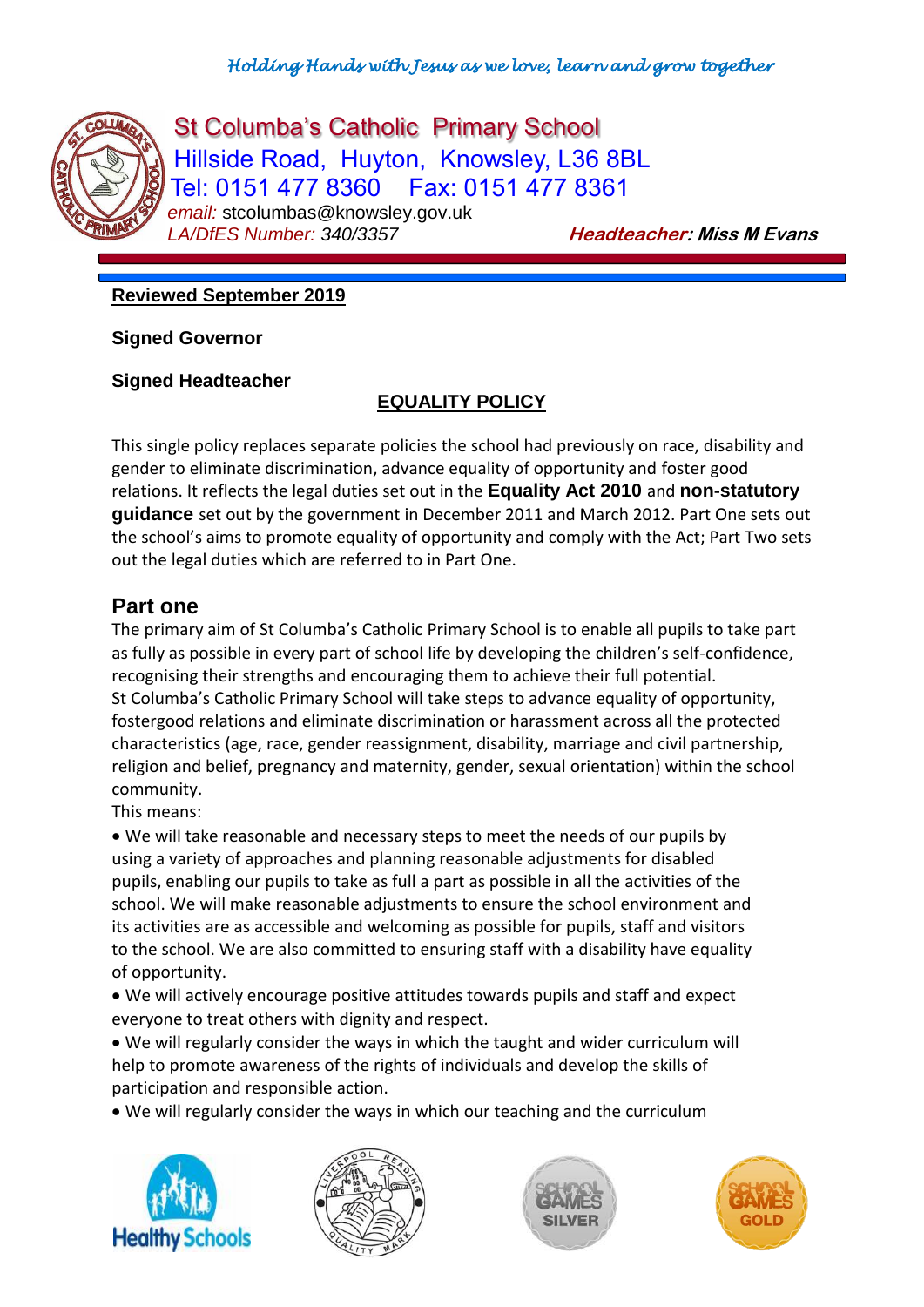

St Columba's Catholic Primary School Hillside Road, Huyton, Knowsley, L36 8BL Tel: 0151 477 8360 Fax: 0151 477 8361 *email:* stcolumbas@knowsley.gov.uk *LA/DfES Number: 340/3357* **Headteacher: Miss M Evans**

## **Reviewed September 2019**

**Signed Governor**

**Signed Headteacher**

# **EQUALITY POLICY**

This single policy replaces separate policies the school had previously on race, disability and gender to eliminate discrimination, advance equality of opportunity and foster good relations. It reflects the legal duties set out in the **Equality Act 2010** and **non-statutory guidance** set out by the government in December 2011 and March 2012. Part One sets out the school's aims to promote equality of opportunity and comply with the Act; Part Two sets out the legal duties which are referred to in Part One.

# **Part one**

The primary aim of St Columba's Catholic Primary School is to enable all pupils to take part as fully as possible in every part of school life by developing the children's self-confidence, recognising their strengths and encouraging them to achieve their full potential. St Columba's Catholic Primary School will take steps to advance equality of opportunity, fostergood relations and eliminate discrimination or harassment across all the protected characteristics (age, race, gender reassignment, disability, marriage and civil partnership, religion and belief, pregnancy and maternity, gender, sexual orientation) within the school community.

This means:

 We will take reasonable and necessary steps to meet the needs of our pupils by using a variety of approaches and planning reasonable adjustments for disabled pupils, enabling our pupils to take as full a part as possible in all the activities of the school. We will make reasonable adjustments to ensure the school environment and its activities are as accessible and welcoming as possible for pupils, staff and visitors to the school. We are also committed to ensuring staff with a disability have equality of opportunity.

 We will actively encourage positive attitudes towards pupils and staff and expect everyone to treat others with dignity and respect.

 We will regularly consider the ways in which the taught and wider curriculum will help to promote awareness of the rights of individuals and develop the skills of participation and responsible action.

We will regularly consider the ways in which our teaching and the curriculum







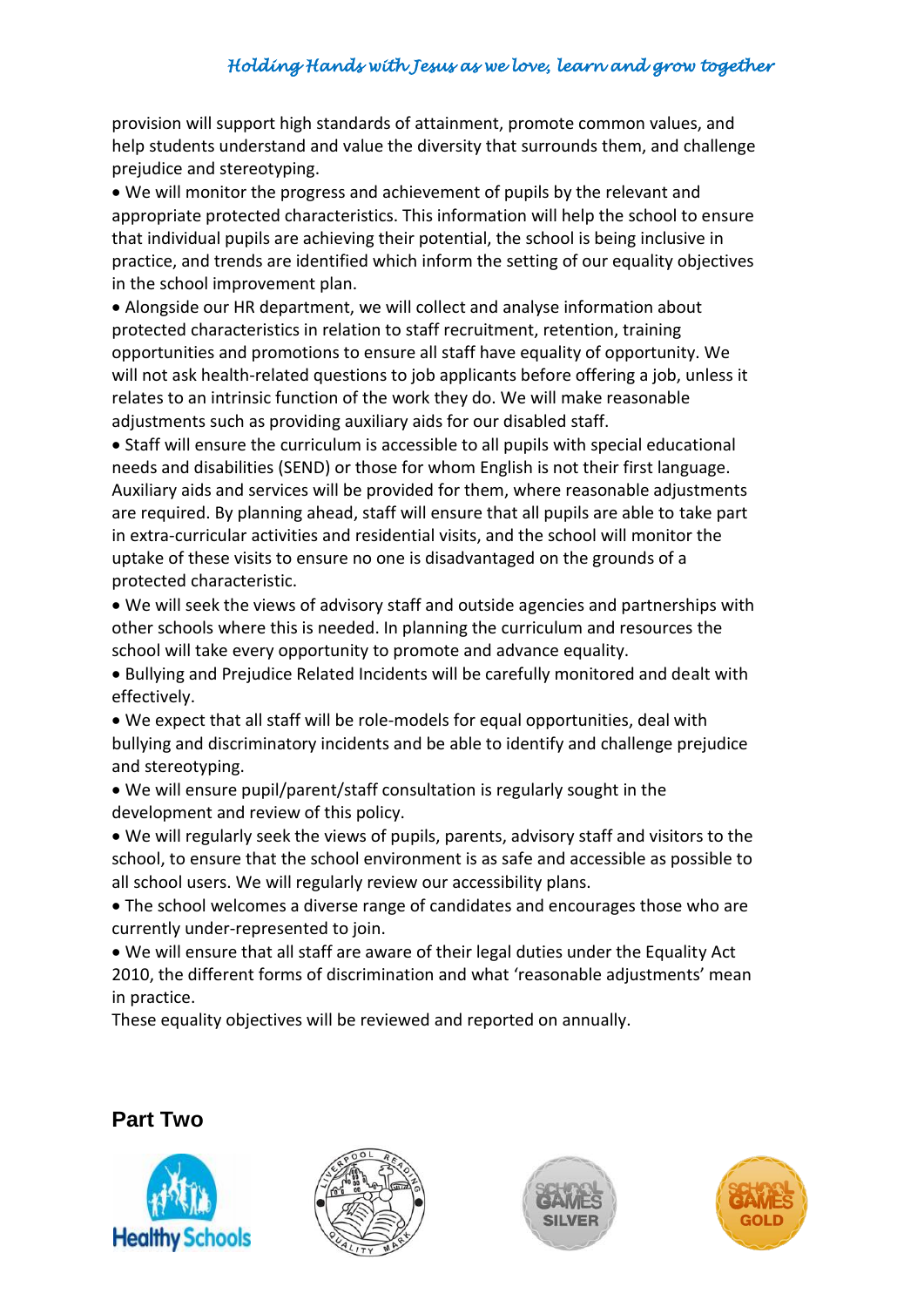provision will support high standards of attainment, promote common values, and help students understand and value the diversity that surrounds them, and challenge prejudice and stereotyping.

 We will monitor the progress and achievement of pupils by the relevant and appropriate protected characteristics. This information will help the school to ensure that individual pupils are achieving their potential, the school is being inclusive in practice, and trends are identified which inform the setting of our equality objectives in the school improvement plan.

 Alongside our HR department, we will collect and analyse information about protected characteristics in relation to staff recruitment, retention, training opportunities and promotions to ensure all staff have equality of opportunity. We will not ask health-related questions to job applicants before offering a job, unless it relates to an intrinsic function of the work they do. We will make reasonable adjustments such as providing auxiliary aids for our disabled staff.

 Staff will ensure the curriculum is accessible to all pupils with special educational needs and disabilities (SEND) or those for whom English is not their first language. Auxiliary aids and services will be provided for them, where reasonable adjustments are required. By planning ahead, staff will ensure that all pupils are able to take part in extra-curricular activities and residential visits, and the school will monitor the uptake of these visits to ensure no one is disadvantaged on the grounds of a protected characteristic.

 We will seek the views of advisory staff and outside agencies and partnerships with other schools where this is needed. In planning the curriculum and resources the school will take every opportunity to promote and advance equality.

 Bullying and Prejudice Related Incidents will be carefully monitored and dealt with effectively.

- We expect that all staff will be role-models for equal opportunities, deal with bullying and discriminatory incidents and be able to identify and challenge prejudice and stereotyping.
- We will ensure pupil/parent/staff consultation is regularly sought in the development and review of this policy.

 We will regularly seek the views of pupils, parents, advisory staff and visitors to the school, to ensure that the school environment is as safe and accessible as possible to all school users. We will regularly review our accessibility plans.

 The school welcomes a diverse range of candidates and encourages those who are currently under-represented to join.

 We will ensure that all staff are aware of their legal duties under the Equality Act 2010, the different forms of discrimination and what 'reasonable adjustments' mean in practice.

These equality objectives will be reviewed and reported on annually.

### **Part Two**







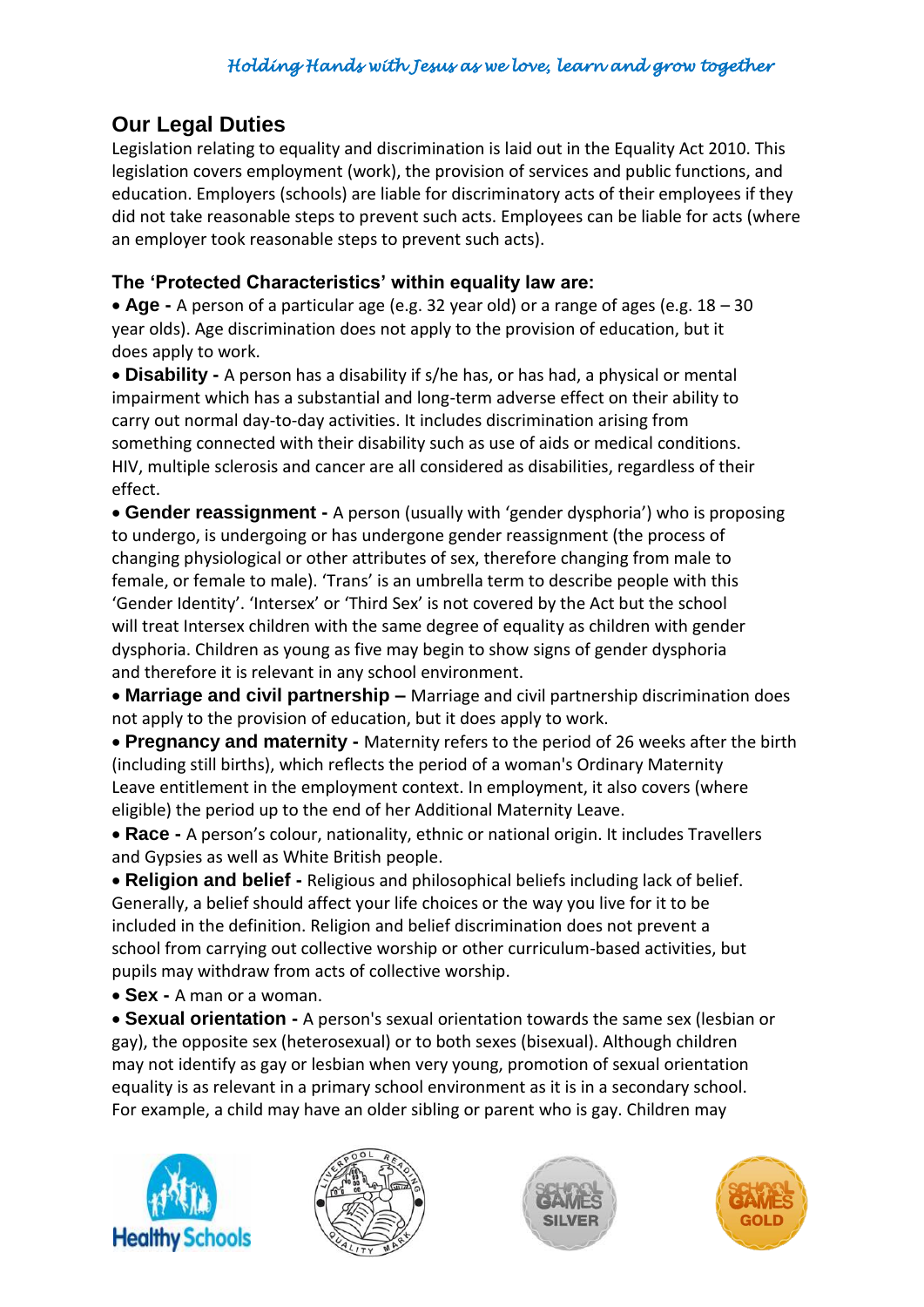# **Our Legal Duties**

Legislation relating to equality and discrimination is laid out in the Equality Act 2010. This legislation covers employment (work), the provision of services and public functions, and education. Employers (schools) are liable for discriminatory acts of their employees if they did not take reasonable steps to prevent such acts. Employees can be liable for acts (where an employer took reasonable steps to prevent such acts).

## **The 'Protected Characteristics' within equality law are:**

 **Age -** A person of a particular age (e.g. 32 year old) or a range of ages (e.g. 18 – 30 year olds). Age discrimination does not apply to the provision of education, but it does apply to work.

 **Disability -** A person has a disability if s/he has, or has had, a physical or mental impairment which has a substantial and long-term adverse effect on their ability to carry out normal day-to-day activities. It includes discrimination arising from something connected with their disability such as use of aids or medical conditions. HIV, multiple sclerosis and cancer are all considered as disabilities, regardless of their effect.

 **Gender reassignment -** A person (usually with 'gender dysphoria') who is proposing to undergo, is undergoing or has undergone gender reassignment (the process of changing physiological or other attributes of sex, therefore changing from male to female, or female to male). 'Trans' is an umbrella term to describe people with this 'Gender Identity'. 'Intersex' or 'Third Sex' is not covered by the Act but the school will treat Intersex children with the same degree of equality as children with gender dysphoria. Children as young as five may begin to show signs of gender dysphoria and therefore it is relevant in any school environment.

 **Marriage and civil partnership –** Marriage and civil partnership discrimination does not apply to the provision of education, but it does apply to work.

 **Pregnancy and maternity -** Maternity refers to the period of 26 weeks after the birth (including still births), which reflects the period of a woman's Ordinary Maternity Leave entitlement in the employment context. In employment, it also covers (where eligible) the period up to the end of her Additional Maternity Leave.

 **Race -** A person's colour, nationality, ethnic or national origin. It includes Travellers and Gypsies as well as White British people.

 **Religion and belief -** Religious and philosophical beliefs including lack of belief. Generally, a belief should affect your life choices or the way you live for it to be included in the definition. Religion and belief discrimination does not prevent a school from carrying out collective worship or other curriculum-based activities, but pupils may withdraw from acts of collective worship.

**Sex -** A man or a woman.

 **Sexual orientation -** A person's sexual orientation towards the same sex (lesbian or gay), the opposite sex (heterosexual) or to both sexes (bisexual). Although children may not identify as gay or lesbian when very young, promotion of sexual orientation equality is as relevant in a primary school environment as it is in a secondary school. For example, a child may have an older sibling or parent who is gay. Children may







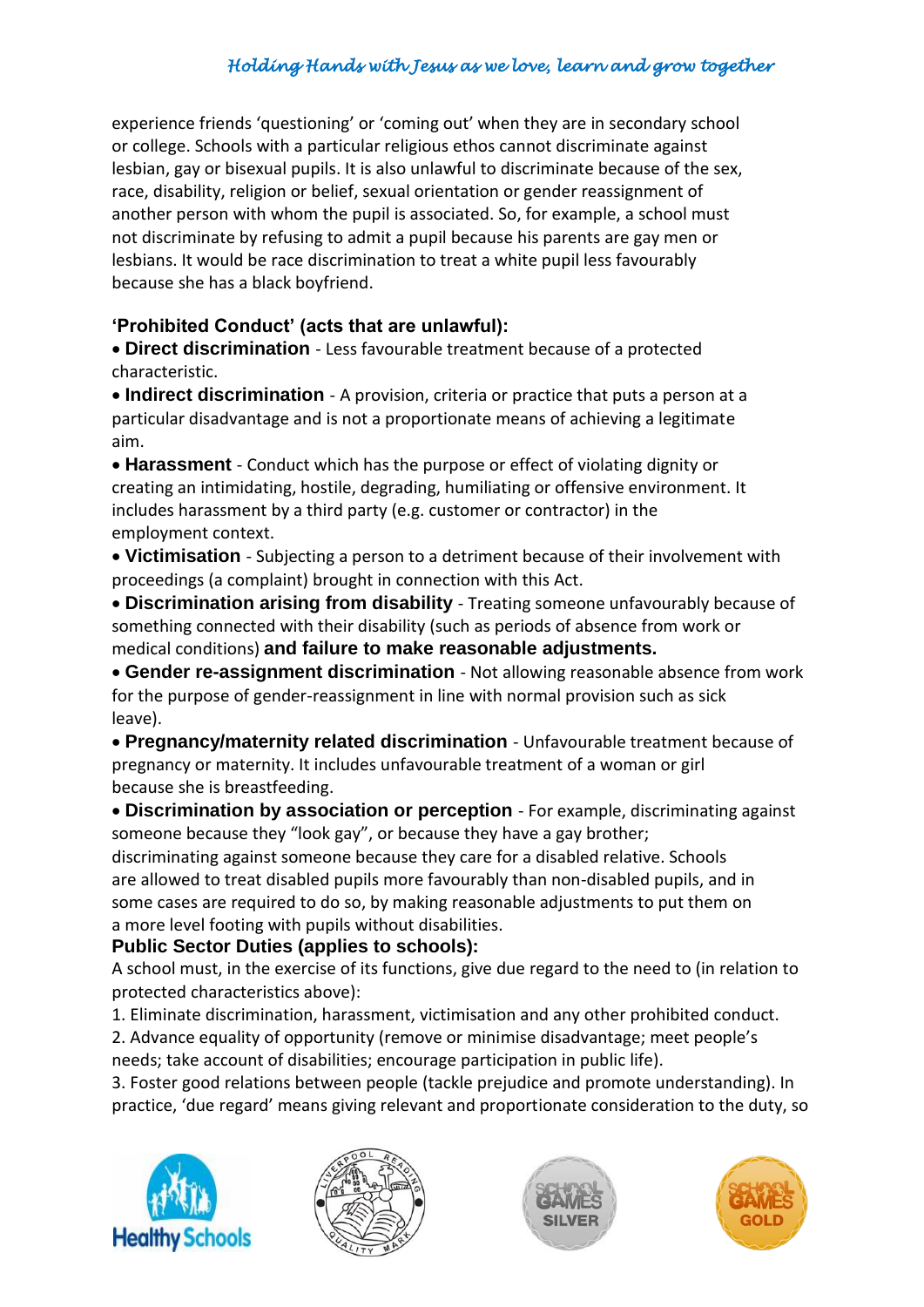experience friends 'questioning' or 'coming out' when they are in secondary school or college. Schools with a particular religious ethos cannot discriminate against lesbian, gay or bisexual pupils. It is also unlawful to discriminate because of the sex, race, disability, religion or belief, sexual orientation or gender reassignment of another person with whom the pupil is associated. So, for example, a school must not discriminate by refusing to admit a pupil because his parents are gay men or lesbians. It would be race discrimination to treat a white pupil less favourably because she has a black boyfriend.

## **'Prohibited Conduct' (acts that are unlawful):**

 **Direct discrimination** - Less favourable treatment because of a protected characteristic.

 **Indirect discrimination** - A provision, criteria or practice that puts a person at a particular disadvantage and is not a proportionate means of achieving a legitimate aim.

 **Harassment** - Conduct which has the purpose or effect of violating dignity or creating an intimidating, hostile, degrading, humiliating or offensive environment. It includes harassment by a third party (e.g. customer or contractor) in the employment context.

 **Victimisation** - Subjecting a person to a detriment because of their involvement with proceedings (a complaint) brought in connection with this Act.

 **Discrimination arising from disability** - Treating someone unfavourably because of something connected with their disability (such as periods of absence from work or medical conditions) **and failure to make reasonable adjustments.**

 **Gender re-assignment discrimination** - Not allowing reasonable absence from work for the purpose of gender-reassignment in line with normal provision such as sick leave).

 **Pregnancy/maternity related discrimination** - Unfavourable treatment because of pregnancy or maternity. It includes unfavourable treatment of a woman or girl because she is breastfeeding.

 **Discrimination by association or perception** - For example, discriminating against someone because they "look gay", or because they have a gay brother;

discriminating against someone because they care for a disabled relative. Schools are allowed to treat disabled pupils more favourably than non-disabled pupils, and in some cases are required to do so, by making reasonable adjustments to put them on a more level footing with pupils without disabilities.

### **Public Sector Duties (applies to schools):**

A school must, in the exercise of its functions, give due regard to the need to (in relation to protected characteristics above):

1. Eliminate discrimination, harassment, victimisation and any other prohibited conduct.

2. Advance equality of opportunity (remove or minimise disadvantage; meet people's needs; take account of disabilities; encourage participation in public life).

3. Foster good relations between people (tackle prejudice and promote understanding). In practice, 'due regard' means giving relevant and proportionate consideration to the duty, so







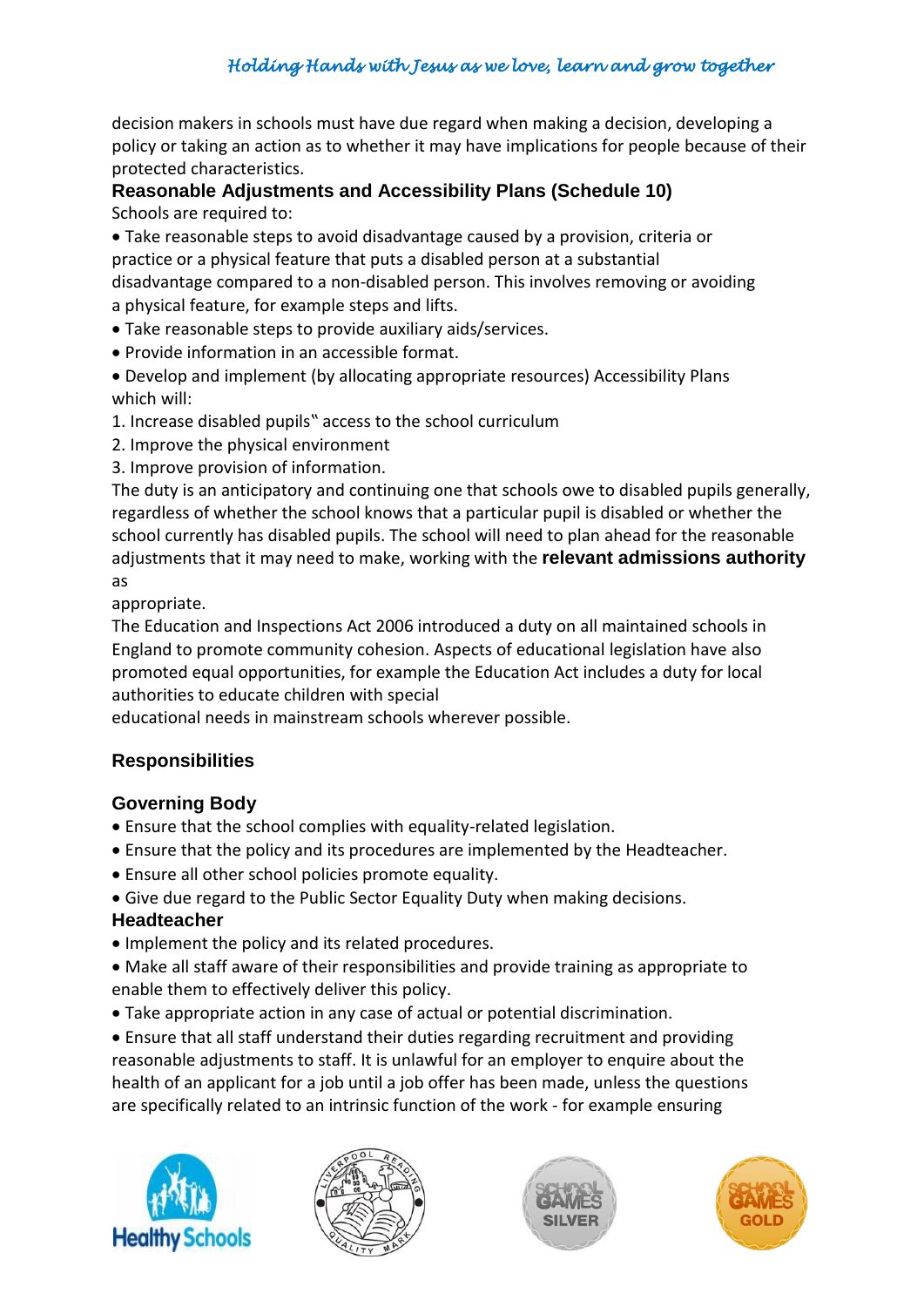decision makers in schools must have due regard when making a decision, developing a policy or taking an action as to whether it may have implications for people because of their protected characteristics.

#### **Reasonable Adjustments and Accessibility Plans (Schedule 10)** Schools are required to:

 Take reasonable steps to avoid disadvantage caused by a provision, criteria or practice or a physical feature that puts a disabled person at a substantial disadvantage compared to a non-disabled person. This involves removing or avoiding a physical feature, for example steps and lifts.

- Take reasonable steps to provide auxiliary aids/services.
- Provide information in an accessible format.

 Develop and implement (by allocating appropriate resources) Accessibility Plans which will:

1. Increase disabled pupils" access to the school curriculum

- 2. Improve the physical environment
- 3. Improve provision of information.

The duty is an anticipatory and continuing one that schools owe to disabled pupils generally, regardless of whether the school knows that a particular pupil is disabled or whether the school currently has disabled pupils. The school will need to plan ahead for the reasonable adjustments that it may need to make, working with the **relevant admissions authority**  as

appropriate.

The Education and Inspections Act 2006 introduced a duty on all maintained schools in England to promote community cohesion. Aspects of educational legislation have also promoted equal opportunities, for example the Education Act includes a duty for local authorities to educate children with special

educational needs in mainstream schools wherever possible.

## **Responsibilities**

### **Governing Body**

- Ensure that the school complies with equality-related legislation.
- Ensure that the policy and its procedures are implemented by the Headteacher.
- Ensure all other school policies promote equality.
- Give due regard to the Public Sector Equality Duty when making decisions.

#### **Headteacher**

- Implement the policy and its related procedures.
- Make all staff aware of their responsibilities and provide training as appropriate to enable them to effectively deliver this policy.
- Take appropriate action in any case of actual or potential discrimination.

 Ensure that all staff understand their duties regarding recruitment and providing reasonable adjustments to staff. It is unlawful for an employer to enquire about the health of an applicant for a job until a job offer has been made, unless the questions are specifically related to an intrinsic function of the work - for example ensuring







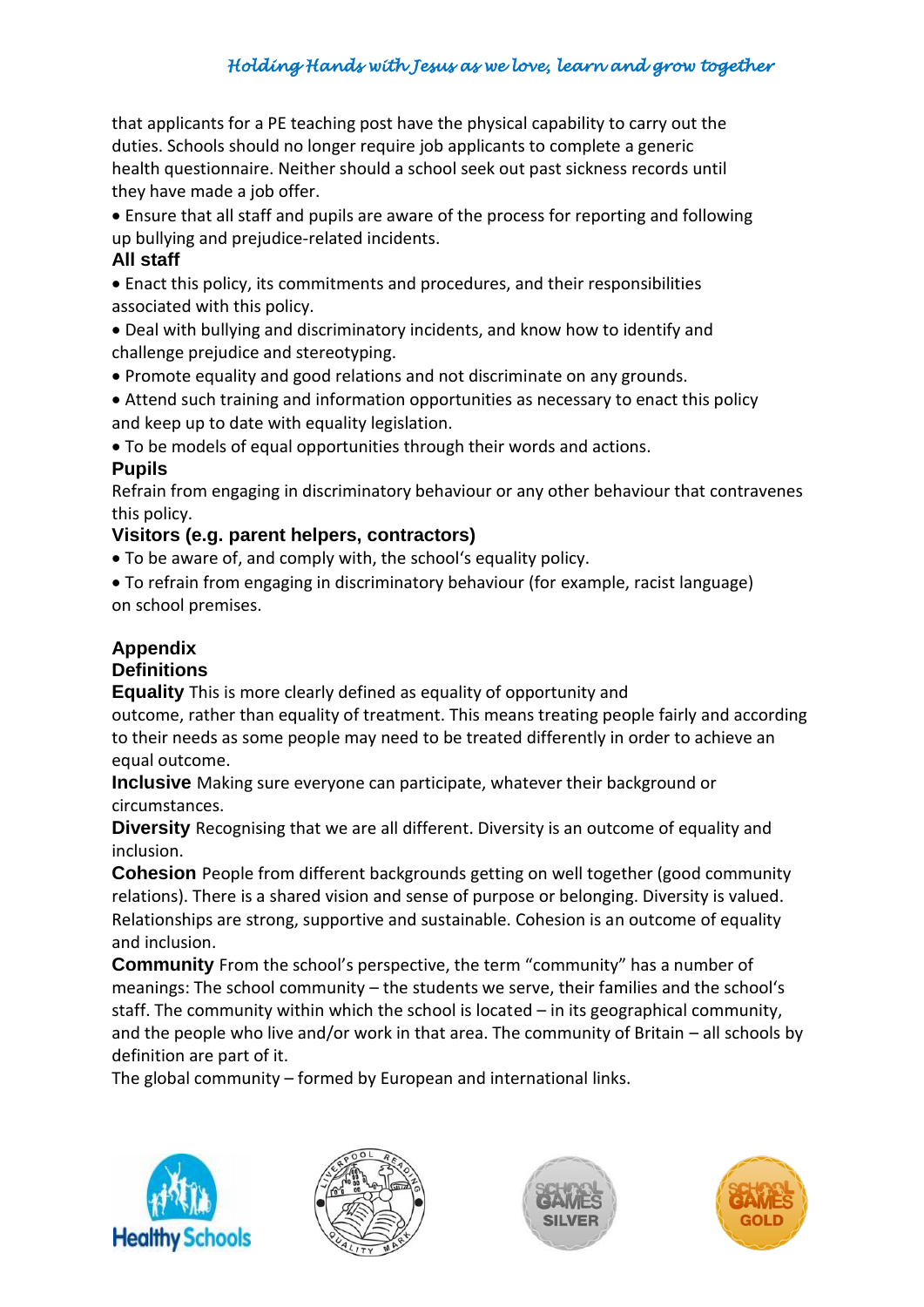that applicants for a PE teaching post have the physical capability to carry out the duties. Schools should no longer require job applicants to complete a generic health questionnaire. Neither should a school seek out past sickness records until they have made a job offer.

 Ensure that all staff and pupils are aware of the process for reporting and following up bullying and prejudice-related incidents.

#### **All staff**

 Enact this policy, its commitments and procedures, and their responsibilities associated with this policy.

- Deal with bullying and discriminatory incidents, and know how to identify and challenge prejudice and stereotyping.
- Promote equality and good relations and not discriminate on any grounds.
- Attend such training and information opportunities as necessary to enact this policy and keep up to date with equality legislation.
- To be models of equal opportunities through their words and actions.

### **Pupils**

Refrain from engaging in discriminatory behaviour or any other behaviour that contravenes this policy.

### **Visitors (e.g. parent helpers, contractors)**

To be aware of, and comply with, the school's equality policy.

 To refrain from engaging in discriminatory behaviour (for example, racist language) on school premises.

## **Appendix**

### **Definitions**

**Equality** This is more clearly defined as equality of opportunity and

outcome, rather than equality of treatment. This means treating people fairly and according to their needs as some people may need to be treated differently in order to achieve an equal outcome.

**Inclusive** Making sure everyone can participate, whatever their background or circumstances.

**Diversity** Recognising that we are all different. Diversity is an outcome of equality and inclusion.

**Cohesion** People from different backgrounds getting on well together (good community relations). There is a shared vision and sense of purpose or belonging. Diversity is valued. Relationships are strong, supportive and sustainable. Cohesion is an outcome of equality and inclusion.

**Community** From the school's perspective, the term "community" has a number of meanings: The school community – the students we serve, their families and the school's staff. The community within which the school is located – in its geographical community, and the people who live and/or work in that area. The community of Britain – all schools by definition are part of it.

The global community – formed by European and international links.